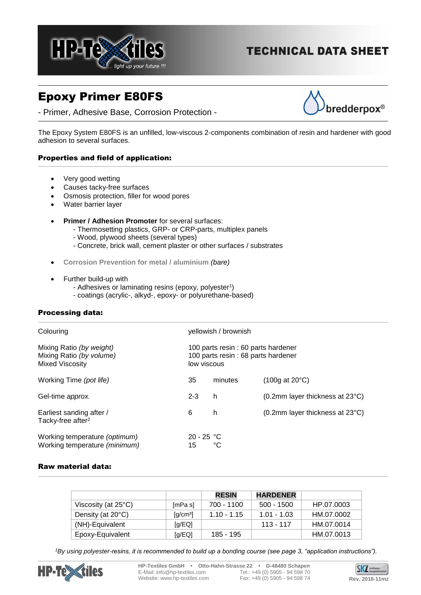

# **TECHNICAL DATA SHEET**

# Epoxy Primer E80FS

- Primer, Adhesive Base, Corrosion Protection -



The Epoxy System E80FS is an unfilled, low-viscous 2-components combination of resin and hardener with good adhesion to several surfaces.

## Properties and field of application:

- Very good wetting
- Causes tacky-free surfaces
- Osmosis protection, filler for wood pores
- Water barrier layer
- **Primer / Adhesion Promoter** for several surfaces:
	- Thermosetting plastics, GRP- or CRP-parts, multiplex panels
	- Wood, plywood sheets (several types)
	- Concrete, brick wall, cement plaster or other surfaces / substrates
- **Corrosion Prevention for metal / aluminium** *(bare)*
- Further build-up with
	- Adhesives or laminating resins (epoxy, polyester<sup>1</sup>)
	- coatings (acrylic-, alkyd-, epoxy- or polyurethane-based)

## Processing data:

| Colouring                                                                      | yellowish / brownish                                                                     |         |                                          |
|--------------------------------------------------------------------------------|------------------------------------------------------------------------------------------|---------|------------------------------------------|
| Mixing Ratio (by weight)<br>Mixing Ratio (by volume)<br><b>Mixed Viscosity</b> | 100 parts resin : 60 parts hardener<br>100 parts resin: 68 parts hardener<br>low viscous |         |                                          |
| Working Time (pot life)                                                        | 35                                                                                       | minutes | $(100q \text{ at } 20^{\circ} \text{C})$ |
| Gel-time approx.                                                               | $2 - 3$                                                                                  | h       | (0.2mm layer thickness at 23°C)          |
| Earliest sanding after /<br>Tacky-free after <sup>2</sup>                      | 6                                                                                        | h.      | (0.2mm layer thickness at 23°C)          |
| Working temperature (optimum)<br>Working temperature (minimum)                 | $20 - 25 °C$<br>15                                                                       | °C      |                                          |

## Raw material data:

|                               |                                             | <b>RESIN</b>  | <b>HARDENER</b> |            |
|-------------------------------|---------------------------------------------|---------------|-----------------|------------|
| Viscosity (at $25^{\circ}$ C) | [mPa s]                                     | 700 - 1100    | 500 - 1500      | HP.07.0003 |
| Density (at 20°C)             | $\left[\frac{\text{q}}{\text{cm}^3}\right]$ | $1.10 - 1.15$ | $1.01 - 1.03$   | HM.07.0002 |
| (NH)-Equivalent               | [q/EQ]                                      |               | 113 - 117       | HM.07.0014 |
| Epoxy-Equivalent              | [q/EQ]                                      | 185 - 195     |                 | HM.07.0013 |

*1By using polyester-resins, it is recommended to build up a bonding course (see page 3, "application instructions").*



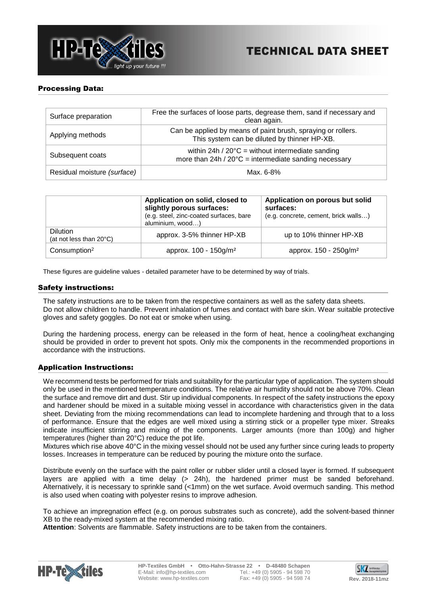

## Processing Data:

| Surface preparation         | Free the surfaces of loose parts, degrease them, sand if necessary and<br>clean again.                                        |
|-----------------------------|-------------------------------------------------------------------------------------------------------------------------------|
| Applying methods            | Can be applied by means of paint brush, spraying or rollers.<br>This system can be diluted by thinner HP-XB.                  |
| Subsequent coats            | within 24h / $20^{\circ}$ C = without intermediate sanding<br>more than $24h / 20^{\circ}$ C = intermediate sanding necessary |
| Residual moisture (surface) | Max. 6-8%                                                                                                                     |

|                                            | Application on solid, closed to<br>slightly porous surfaces:<br>(e.g. steel, zinc-coated surfaces, bare<br>aluminium, wood) | Application on porous but solid<br>surfaces:<br>(e.g. concrete, cement, brick walls) |
|--------------------------------------------|-----------------------------------------------------------------------------------------------------------------------------|--------------------------------------------------------------------------------------|
| <b>Dilution</b><br>(at not less than 20°C) | approx. 3-5% thinner HP-XB                                                                                                  | up to 10% thinner HP-XB                                                              |
| Consumption <sup>2</sup>                   | approx. 100 - 150g/m <sup>2</sup>                                                                                           | approx. 150 - 250g/m <sup>2</sup>                                                    |

These figures are guideline values - detailed parameter have to be determined by way of trials.

#### Safety instructions:

The safety instructions are to be taken from the respective containers as well as the safety data sheets. Do not allow children to handle. Prevent inhalation of fumes and contact with bare skin. Wear suitable protective gloves and safety goggles. Do not eat or smoke when using.

During the hardening process, energy can be released in the form of heat, hence a cooling/heat exchanging should be provided in order to prevent hot spots. Only mix the components in the recommended proportions in accordance with the instructions.

## Application Instructions:

We recommend tests be performed for trials and suitability for the particular type of application. The system should only be used in the mentioned temperature conditions. The relative air humidity should not be above 70%. Clean the surface and remove dirt and dust. Stir up individual components. In respect of the safety instructions the epoxy and hardener should be mixed in a suitable mixing vessel in accordance with characteristics given in the data sheet. Deviating from the mixing recommendations can lead to incomplete hardening and through that to a loss of performance. Ensure that the edges are well mixed using a stirring stick or a propeller type mixer. Streaks indicate insufficient stirring and mixing of the components. Larger amounts (more than 100g) and higher temperatures (higher than 20°C) reduce the pot life.

Mixtures which rise above 40°C in the mixing vessel should not be used any further since curing leads to property losses. Increases in temperature can be reduced by pouring the mixture onto the surface.

Distribute evenly on the surface with the paint roller or rubber slider until a closed layer is formed. If subsequent layers are applied with a time delay  $(> 24h)$ , the hardened primer must be sanded beforehand. Alternatively, it is necessary to sprinkle sand (<1mm) on the wet surface. Avoid overmuch sanding. This method is also used when coating with polyester resins to improve adhesion.

To achieve an impregnation effect (e.g. on porous substrates such as concrete), add the solvent-based thinner XB to the ready-mixed system at the recommended mixing ratio.

**Attention**: Solvents are flammable. Safety instructions are to be taken from the containers.